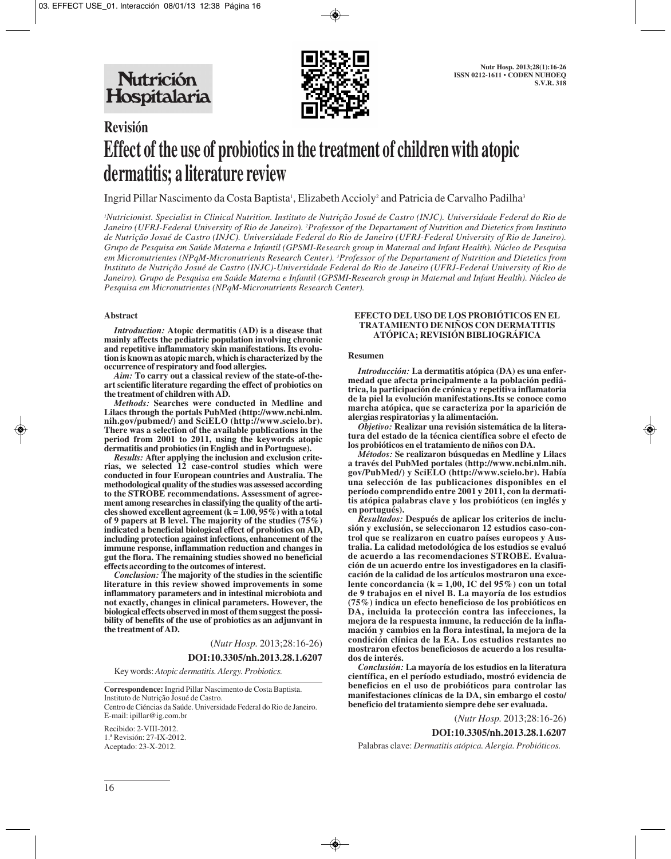

# **Revisión Effect of the use of probiotics in the treatment of children with atopic dermatitis; a literature review**

Ingrid Pillar Nascimento da Costa Baptista<sup>1</sup>, Elizabeth Accioly<sup>2</sup> and Patricia de Carvalho Padilha<sup>3</sup>

*1 Nutricionist. Specialist in Clinical Nutrition. Instituto de Nutrição Josué de Castro (INJC). Universidade Federal do Rio de Janeiro (UFRJ-Federal University of Rio de Janeiro). 2 Professor of the Departament of Nutrition and Dietetics from Instituto de Nutrição Josué de Castro (INJC). Universidade Federal do Rio de Janeiro (UFRJ-Federal University of Rio de Janeiro). Grupo de Pesquisa em Saúde Materna e Infantil (GPSMI-Research group in Maternal and Infant Health). Núcleo de Pesquisa em Micronutrientes (NPqM-Micronutrients Research Center). 3 Professor of the Departament of Nutrition and Dietetics from Instituto de Nutrição Josué de Castro (INJC)-Universidade Federal do Rio de Janeiro (UFRJ-Federal University of Rio de Janeiro). Grupo de Pesquisa em Saúde Materna e Infantil (GPSMI-Research group in Maternal and Infant Health). Núcleo de Pesquisa em Micronutrientes (NPqM-Micronutrients Research Center).*

#### **Abstract**

*Introduction:* **Atopic dermatitis (AD) is a disease that mainly affects the pediatric population involving chronic and repetitive inflammatory skin manifestations. Its evolution is known as atopic march, which is characterized by the occurrence of respiratory and food allergies.** 

*Aim:* **To carry out a classical review of the state-of-theart scientific literature regarding the effect of probiotics on the treatment of children with AD.** 

*Methods:* **Searches were conducted in Medline and Lilacs through the portals PubMed (http://www.ncbi.nlm. nih.gov/pubmed/) and SciELO (http://www.scielo.br). There was a selection of the available publications in the period from 2001 to 2011, using the keywords atopic dermatitis and probiotics (in English and in Portuguese).**

*Results:* **After applying the inclusion and exclusion criterias, we selected 12 case-control studies which were conducted in four European countries and Australia. The methodological quality of the studies was assessed according to the STROBE recommendations. Assessment of agreement among researches in classifying the quality of the arti**cles showed excellent agreement  $(k = 1.00, 95\%)$  with a total **of 9 papers at B level. The majority of the studies (75%) indicated a beneficial biological effect of probiotics on AD, including protection against infections, enhancement of the immune response, inflammation reduction and changes in gut the flora. The remaining studies showed no beneficial effects according to the outcomes of interest.** 

*Conclusion:* **The majority of the studies in the scientific literature in this review showed improvements in some inflammatory parameters and in intestinal microbiota and not exactly, changes in clinical parameters. However, the biological effects observed in most of them suggest the possibility of benefits of the use of probiotics as an adjunvant in the treatment of AD.**

(*Nutr Hosp.* 2013;28:16-26)

**DOI:10.3305/nh.2013.28.1.6207**

Key words: *Atopic dermatitis. Alergy. Probiotics.*

**Correspondence:** Ingrid Pillar Nascimento de Costa Baptista. Instituto de Nutrição Josué de Castro. Centro de Ciéncias da Saúde. Universidade Federal do Rio de Janeiro. E-mail: ipillar@ig.com.br

Recibido: 2-VIII-2012. 1.ª Revisión: 27-IX-2012. Aceptado: 23-X-2012.

#### **EFECTO DEL USO DE LOS PROBIÓTICOS EN EL TRATAMIENTO DE NIÑOS CON DERMATITIS ATÓPICA; REVISIÓN BIBLIOGRÁFICA**

#### **Resumen**

*Introducción:* **La dermatitis atópica (DA) es una enfermedad que afecta principalmente a la población pediátrica, la participación de crónica y repetitiva inflamatoria de la piel la evolución manifestations.Its se conoce como marcha atópica, que se caracteriza por la aparición de alergias respiratorias y la alimentación.** 

*Objetivo:* **Realizar una revisión sistemática de la literatura del estado de la técnica científica sobre el efecto de los probióticos en el tratamiento de niños con DA.** 

*Métodos:* **Se realizaron búsquedas en Medline y Lilacs a través del PubMed portales (http://www.ncbi.nlm.nih. gov/PubMed/) y SciELO (http://www.scielo.br). Había una selección de las publicaciones disponibles en el** período comprendido entre 2001 y 2011, con la dermati**tis atópica palabras clave y los probióticos (en inglés y en portugués).** 

*Resultados:* **Después de aplicar los criterios de inclusión y exclusión, se seleccionaron 12 estudios caso-control que se realizaron en cuatro países europeos y Australia. La calidad metodológica de los estudios se evaluó de acuerdo a las recomendaciones STROBE. Evaluación de un acuerdo entre los investigadores en la clasificación de la calidad de los artículos mostraron una excelente concordancia (k = 1,00, IC del 95%) con un total de 9 trabajos en el nivel B. La mayoría de los estudios (75%) indica un efecto beneficioso de los probióticos en DA, incluida la protección contra las infecciones, la mejora de la respuesta inmune, la reducción de la inflamación y cambios en la flora intestinal, la mejora de la condición clínica de la EA. Los estudios restantes no mostraron efectos beneficiosos de acuerdo a los resultados de interés.** 

*Conclusión:* **La mayoría de los estudios en la literatura científica, en el período estudiado, mostró evidencia de beneficios en el uso de probióticos para controlar las manifestaciones clínicas de la DA, sin embargo el costo/ beneficio del tratamiento siempre debe ser evaluada.**

(*Nutr Hosp.* 2013;28:16-26)

**DOI:10.3305/nh.2013.28.1.6207**

Palabras clave: *Dermatitis atópica. Alergia. Probióticos.*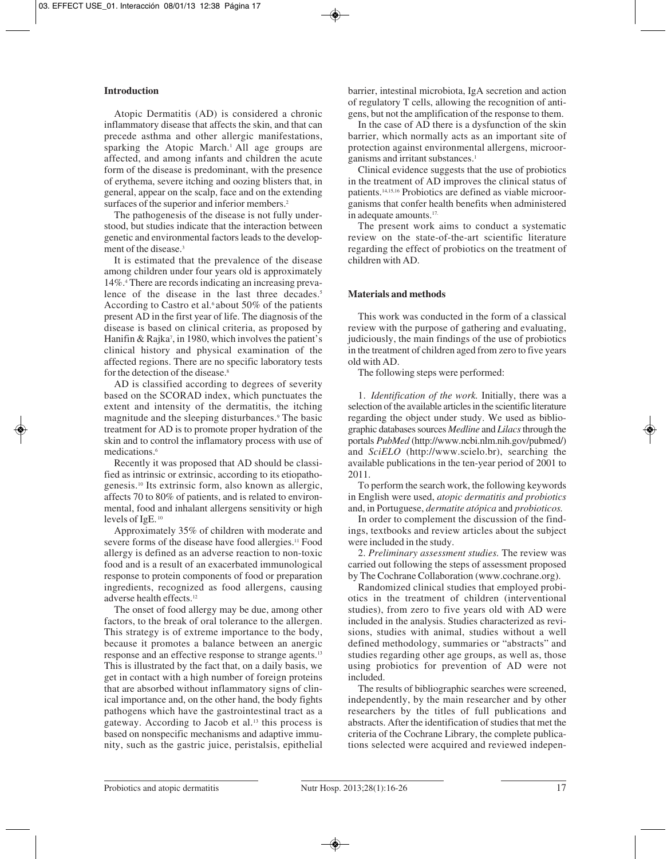## **Introduction**

Atopic Dermatitis (AD) is considered a chronic inflammatory disease that affects the skin, and that can precede asthma and other allergic manifestations, sparking the Atopic March.<sup>1</sup> All age groups are affected, and among infants and children the acute form of the disease is predominant, with the presence of erythema, severe itching and oozing blisters that, in general, appear on the scalp, face and on the extending surfaces of the superior and inferior members.<sup>2</sup>

The pathogenesis of the disease is not fully understood, but studies indicate that the interaction between genetic and environmental factors leads to the development of the disease.3

It is estimated that the prevalence of the disease among children under four years old is approximately 14%.4 There are records indicating an increasing prevalence of the disease in the last three decades.<sup>5</sup> According to Castro et al.<sup>6</sup> about 50% of the patients present AD in the first year of life. The diagnosis of the disease is based on clinical criteria, as proposed by Hanifin & Rajka<sup>7</sup>, in 1980, which involves the patient's clinical history and physical examination of the affected regions. There are no specific laboratory tests for the detection of the disease.8

AD is classified according to degrees of severity based on the SCORAD index, which punctuates the extent and intensity of the dermatitis, the itching magnitude and the sleeping disturbances.9 The basic treatment for AD is to promote proper hydration of the skin and to control the inflamatory process with use of medications.6

Recently it was proposed that AD should be classified as intrinsic or extrinsic, according to its etiopathogenesis.10 Its extrinsic form, also known as allergic, affects 70 to 80% of patients, and is related to environmental, food and inhalant allergens sensitivity or high levels of IgE. <sup>10</sup>

Approximately 35% of children with moderate and severe forms of the disease have food allergies.<sup>11</sup> Food allergy is defined as an adverse reaction to non-toxic food and is a result of an exacerbated immunological response to protein components of food or preparation ingredients, recognized as food allergens, causing adverse health effects.12

The onset of food allergy may be due, among other factors, to the break of oral tolerance to the allergen. This strategy is of extreme importance to the body, because it promotes a balance between an anergic response and an effective response to strange agents.13 This is illustrated by the fact that, on a daily basis, we get in contact with a high number of foreign proteins that are absorbed without inflammatory signs of clinical importance and, on the other hand, the body fights pathogens which have the gastrointestinal tract as a gateway. According to Jacob et al.13 this process is based on nonspecific mechanisms and adaptive immunity, such as the gastric juice, peristalsis, epithelial barrier, intestinal microbiota, IgA secretion and action of regulatory T cells, allowing the recognition of antigens, but not the amplification of the response to them.

In the case of AD there is a dysfunction of the skin barrier, which normally acts as an important site of protection against environmental allergens, microorganisms and irritant substances.<sup>1</sup>

Clinical evidence suggests that the use of probiotics in the treatment of AD improves the clinical status of patients.14,15,16 Probiotics are defined as viable microorganisms that confer health benefits when administered in adequate amounts.17.

The present work aims to conduct a systematic review on the state-of-the-art scientific literature regarding the effect of probiotics on the treatment of children with AD.

# **Materials and methods**

This work was conducted in the form of a classical review with the purpose of gathering and evaluating, judiciously, the main findings of the use of probiotics in the treatment of children aged from zero to five years old with AD.

The following steps were performed:

1. *Identification of the work.* Initially, there was a selection of the available articles in the scientific literature regarding the object under study. We used as bibliographic databases sources *Medline* and *Lilacs* through the portals *PubMed* (http://www.ncbi.nlm.nih.gov/pubmed/) and *SciELO* (http://www.scielo.br), searching the available publications in the ten-year period of 2001 to 2011.

To perform the search work, the following keywords in English were used, *atopic dermatitis and probiotics* and, in Portuguese, *dermatite atópica* and *probioticos.*

In order to complement the discussion of the findings, textbooks and review articles about the subject were included in the study.

2. *Preliminary assessment studies.* The review was carried out following the steps of assessment proposed by The Cochrane Collaboration (www.cochrane.org).

Randomized clinical studies that employed probiotics in the treatment of children (interventional studies), from zero to five years old with AD were included in the analysis. Studies characterized as revisions, studies with animal, studies without a well defined methodology, summaries or "abstracts" and studies regarding other age groups, as well as, those using probiotics for prevention of AD were not included.

The results of bibliographic searches were screened, independently, by the main researcher and by other researchers by the titles of full publications and abstracts. After the identification of studies that met the criteria of the Cochrane Library, the complete publications selected were acquired and reviewed indepen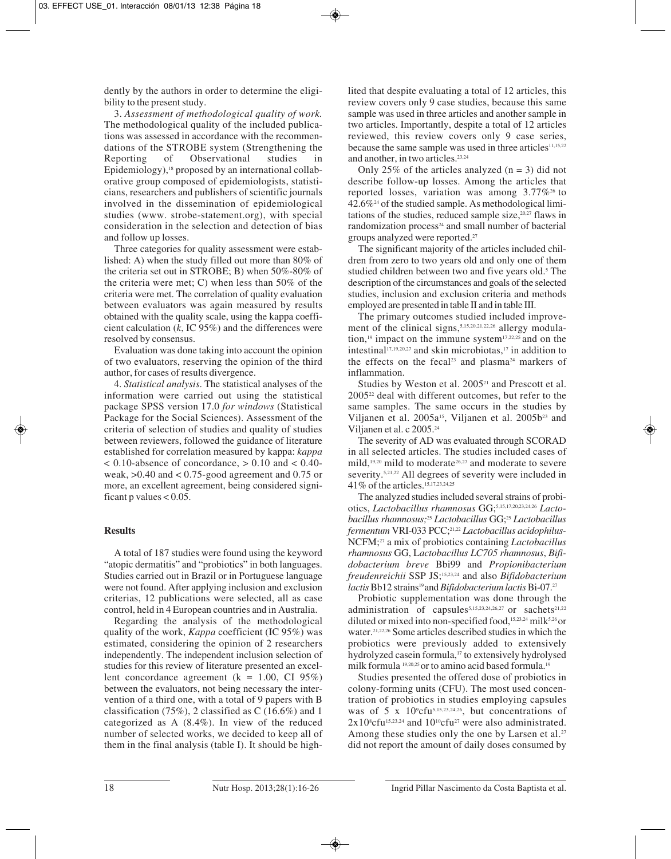dently by the authors in order to determine the eligibility to the present study.

3. *Assessment of methodological quality of work.* The methodological quality of the included publications was assessed in accordance with the recommendations of the STROBE system (Strengthening the Reporting of Observational studies in Reporting of Observational studies in Epidemiology), $18$  proposed by an international collaborative group composed of epidemiologists, statisticians, researchers and publishers of scientific journals involved in the dissemination of epidemiological studies (www. strobe-statement.org), with special consideration in the selection and detection of bias and follow up losses.

Three categories for quality assessment were established: A) when the study filled out more than 80% of the criteria set out in STROBE; B) when 50%-80% of the criteria were met; C) when less than 50% of the criteria were met. The correlation of quality evaluation between evaluators was again measured by results obtained with the quality scale, using the kappa coefficient calculation (*k*, IC 95%) and the differences were resolved by consensus.

Evaluation was done taking into account the opinion of two evaluators, reserving the opinion of the third author, for cases of results divergence.

4. *Statistical analysis*. The statistical analyses of the information were carried out using the statistical package SPSS version 17.0 *for windows* (Statistical Package for the Social Sciences). Assessment of the criteria of selection of studies and quality of studies between reviewers, followed the guidance of literature established for correlation measured by kappa: *kappa*  $< 0.10$ -absence of concordance,  $> 0.10$  and  $< 0.40$ weak,  $>0.40$  and  $< 0.75$ -good agreement and 0.75 or more, an excellent agreement, being considered significant p values  $< 0.05$ .

## **Results**

A total of 187 studies were found using the keyword "atopic dermatitis" and "probiotics" in both languages. Studies carried out in Brazil or in Portuguese language were not found. After applying inclusion and exclusion criterias, 12 publications were selected, all as case control, held in 4 European countries and in Australia.

Regarding the analysis of the methodological quality of the work, *Kappa* coefficient (IC 95%) was estimated, considering the opinion of 2 researchers independently. The independent inclusion selection of studies for this review of literature presented an excellent concordance agreement ( $k = 1.00$ , CI 95%) between the evaluators, not being necessary the intervention of a third one, with a total of 9 papers with B classification (75%), 2 classified as  $C(16.6%)$  and 1 categorized as A (8.4%). In view of the reduced number of selected works, we decided to keep all of them in the final analysis (table I). It should be highlited that despite evaluating a total of 12 articles, this review covers only 9 case studies, because this same sample was used in three articles and another sample in two articles. Importantly, despite a total of 12 articles reviewed, this review covers only 9 case series, because the same sample was used in three articles<sup>11,15,22</sup> and another, in two articles.23,24

Only 25% of the articles analyzed  $(n = 3)$  did not describe follow-up losses. Among the articles that reported losses, variation was among  $3.77\%$ <sup>26</sup> to  $42.6\%$ <sup>24</sup> of the studied sample. As methodological limitations of the studies, reduced sample size, $20.27$  flaws in randomization process<sup>24</sup> and small number of bacterial groups analyzed were reported.27

The significant majority of the articles included children from zero to two years old and only one of them studied children between two and five years old.<sup>5</sup> The description of the circumstances and goals of the selected studies, inclusion and exclusion criteria and methods employed are presented in table II and in table III.

The primary outcomes studied included improvement of the clinical signs,<sup>5,15,20,21,22,26</sup> allergy modulation, $19$  impact on the immune system $17,22,25$  and on the intestinal<sup>17,19,20,27</sup> and skin microbiotas,<sup>17</sup> in addition to the effects on the fecal<sup>23</sup> and plasma<sup>24</sup> markers of inflammation.

Studies by Weston et al. 2005<sup>21</sup> and Prescott et al. 200522 deal with different outcomes, but refer to the same samples. The same occurs in the studies by Viljanen et al.  $2005a^{15}$ , Viljanen et al.  $2005b^{23}$  and Viljanen et al. c 2005.24

The severity of AD was evaluated through SCORAD in all selected articles. The studies included cases of mild,<sup>19,20</sup> mild to moderate<sup>26,27</sup> and moderate to severe severity.<sup>5,21,22</sup> All degrees of severity were included in 41% of the articles.15,17,23,24,25

The analyzed studies included several strains of probiotics, *Lactobacillus rhamnosus* GG;5,15,17,20,23,24,26 *Lactobacillus rhamnosus;*<sup>25</sup> *Lactobacillus* GG;25 *Lactobacillus fermentum* VRI-033 PCC;21,22 *Lactobacillus acidophilus-*NCFM;27 a mix of probiotics containing *Lactobacillus rhamnosus* GG, L*actobacillus LC705 rhamnosus*, *Bifidobacterium breve* Bbi99 and *Propionibacterium freudenreichii* SSP JS;15,23,24 and also *Bifidobacterium lactis* Bb12 strains<sup>19</sup> and *Bifidobacterium lactis* Bi-07.<sup>27</sup>

Probiotic supplementation was done through the administration of capsules<sup>5,15,23,24,26,27</sup> or sachets<sup>21,22</sup> diluted or mixed into non-specified food,<sup>15,23,24</sup> milk<sup>5,26</sup> or water.<sup>21,22,26</sup> Some articles described studies in which the probiotics were previously added to extensively hydrolyzed casein formula,17 to extensively hydrolysed milk formula <sup>19,20,25</sup> or to amino acid based formula.<sup>19</sup>

Studies presented the offered dose of probiotics in colony-forming units (CFU). The most used concentration of probiotics in studies employing capsules was of  $5 \times 10^9$ cfu<sup>5,15,23,24,26</sup>, but concentrations of  $2x10^{\text{s}}$ cfu<sup>15,23,24</sup> and  $10^{\text{10}}$ cfu<sup>27</sup> were also administrated. Among these studies only the one by Larsen et al.<sup>27</sup> did not report the amount of daily doses consumed by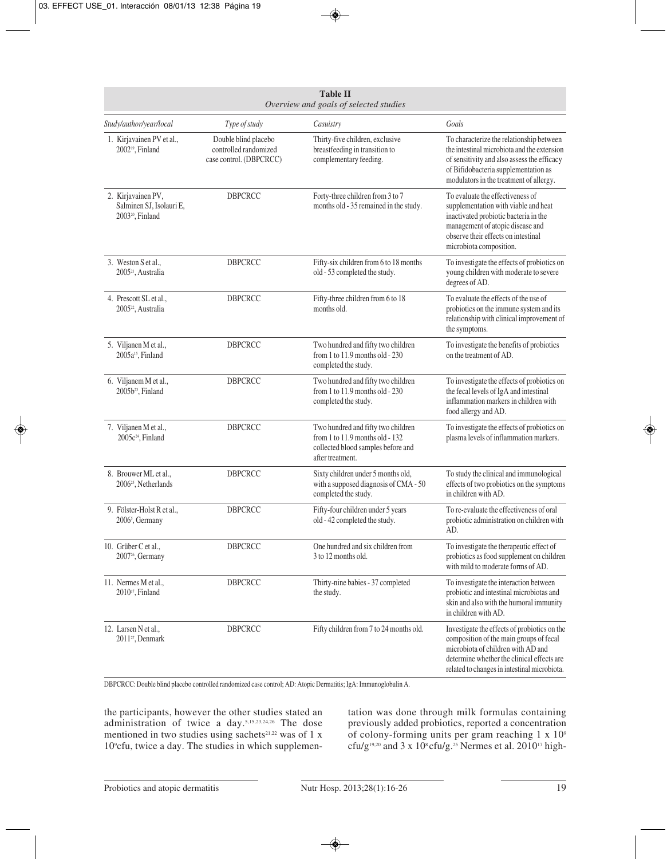| <b>Table II</b><br>Overview and goals of selected studies                      |                                                                          |                                                                                                                                 |                                                                                                                                                                                                                             |  |  |
|--------------------------------------------------------------------------------|--------------------------------------------------------------------------|---------------------------------------------------------------------------------------------------------------------------------|-----------------------------------------------------------------------------------------------------------------------------------------------------------------------------------------------------------------------------|--|--|
| Study/author/year/local                                                        | Type of study                                                            | Casuistry                                                                                                                       | Goals                                                                                                                                                                                                                       |  |  |
| 1. Kirjavainen PV et al.,<br>2002 <sup>19</sup> , Finland                      | Double blind placebo<br>controlled randomized<br>case control. (DBPCRCC) | Thirty-five children, exclusive<br>breastfeeding in transition to<br>complementary feeding.                                     | To characterize the relationship between<br>the intestinal microbiota and the extension<br>of sensitivity and also assess the efficacy<br>of Bifidobacteria supplementation as<br>modulators in the treatment of allergy.   |  |  |
| 2. Kirjavainen PV,<br>Salminen SJ, Isolauri E,<br>2003 <sup>20</sup> , Finland | <b>DBPCRCC</b>                                                           | Forty-three children from 3 to 7<br>months old - 35 remained in the study.                                                      | To evaluate the effectiveness of<br>supplementation with viable and heat<br>inactivated probiotic bacteria in the<br>management of atopic disease and<br>observe their effects on intestinal<br>microbiota composition.     |  |  |
| 3. Weston S et al.,<br>2005 <sup>21</sup> , Australia                          | <b>DBPCRCC</b>                                                           | Fifty-six children from 6 to 18 months<br>old - 53 completed the study.                                                         | To investigate the effects of probiotics on<br>young children with moderate to severe<br>degrees of AD.                                                                                                                     |  |  |
| 4. Prescott SL et al.,<br>2005 <sup>22</sup> , Australia                       | <b>DBPCRCC</b>                                                           | Fifty-three children from 6 to 18<br>months old.                                                                                | To evaluate the effects of the use of<br>probiotics on the immune system and its<br>relationship with clinical improvement of<br>the symptoms.                                                                              |  |  |
| 5. Viljanen M et al.,<br>2005a <sup>15</sup> , Finland                         | <b>DBPCRCC</b>                                                           | Two hundred and fifty two children<br>from 1 to 11.9 months old - 230<br>completed the study.                                   | To investigate the benefits of probiotics<br>on the treatment of AD.                                                                                                                                                        |  |  |
| 6. Viljanem M et al.,<br>2005b <sup>23</sup> , Finland                         | <b>DBPCRCC</b>                                                           | Two hundred and fifty two children<br>from 1 to 11.9 months old - 230<br>completed the study.                                   | To investigate the effects of probiotics on<br>the fecal levels of IgA and intestinal<br>inflammation markers in children with<br>food allergy and AD.                                                                      |  |  |
| 7. Viljanen M et al.,<br>2005c <sup>24</sup> , Finland                         | <b>DBPCRCC</b>                                                           | Two hundred and fifty two children<br>from 1 to 11.9 months old - 132<br>collected blood samples before and<br>after treatment. | To investigate the effects of probiotics on<br>plasma levels of inflammation markers.                                                                                                                                       |  |  |
| 8. Brouwer ML et al.,<br>2006 <sup>25</sup> , Netherlands                      | <b>DBPCRCC</b>                                                           | Sixty children under 5 months old,<br>with a supposed diagnosis of CMA - 50<br>completed the study.                             | To study the clinical and immunological<br>effects of two probiotics on the symptoms<br>in children with AD.                                                                                                                |  |  |
| 9. Fölster-Holst R et al.,<br>2006 <sup>5</sup> , Germany                      | <b>DBPCRCC</b>                                                           | Fifty-four children under 5 years<br>old - 42 completed the study.                                                              | To re-evaluate the effectiveness of oral<br>probiotic administration on children with<br>AD.                                                                                                                                |  |  |
| 10. Grüber C et al.,<br>2007 <sup>26</sup> , Germany                           | DBPCRCC                                                                  | One hundred and six children from<br>3 to 12 months old.                                                                        | To investigate the therapeutic effect of<br>probiotics as food supplement on children<br>with mild to moderate forms of AD.                                                                                                 |  |  |
| 11. Nermes M et al.,<br>2010 <sup>17</sup> , Finland                           | DBPCRCC                                                                  | Thirty-nine babies - 37 completed<br>the study.                                                                                 | To investigate the interaction between<br>probiotic and intestinal microbiotas and<br>skin and also with the humoral immunity<br>in children with AD.                                                                       |  |  |
| 12. Larsen N et al.,<br>2011 <sup>27</sup> , Denmark                           | DBPCRCC                                                                  | Fifty children from 7 to 24 months old.                                                                                         | Investigate the effects of probiotics on the<br>composition of the main groups of fecal<br>microbiota of children with AD and<br>determine whether the clinical effects are<br>related to changes in intestinal microbiota. |  |  |

DBPCRCC: Double blind placebo controlled randomized case control; AD: Atopic Dermatitis; IgA: Immunoglobulin A.

the participants, however the other studies stated an administration of twice a day.5,15,23,24,26 The dose mentioned in two studies using sachets<sup>21,22</sup> was of 1 x 109 cfu, twice a day. The studies in which supplementation was done through milk formulas containing previously added probiotics, reported a concentration of colony-forming units per gram reaching  $1 \times 10^9$ cfu/g<sup>19,20</sup> and 3 x 10<sup>8</sup> cfu/g.<sup>25</sup> Nermes et al. 2010<sup>17</sup> high-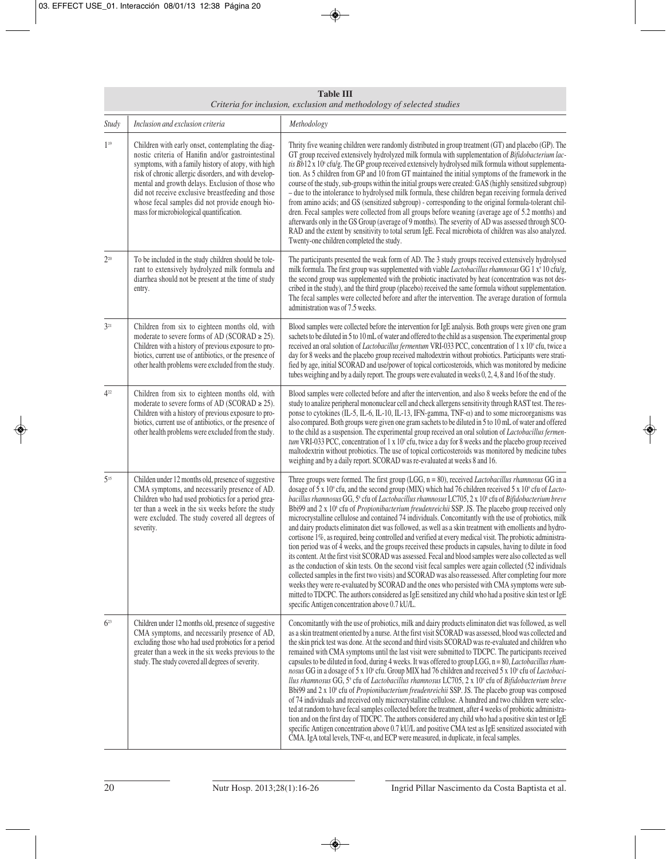| <b>Table III</b><br>Criteria for inclusion, exclusion and methodology of selected studies |                                                                                                                                                                                                                                                                                                                                                                                                                                  |                                                                                                                                                                                                                                                                                                                                                                                                                                                                                                                                                                                                                                                                                                                                                                                                                                                                                                                                                                                                                                                                                                                                                                                                                                                                                                                                                                                                                                                                                                      |  |  |
|-------------------------------------------------------------------------------------------|----------------------------------------------------------------------------------------------------------------------------------------------------------------------------------------------------------------------------------------------------------------------------------------------------------------------------------------------------------------------------------------------------------------------------------|------------------------------------------------------------------------------------------------------------------------------------------------------------------------------------------------------------------------------------------------------------------------------------------------------------------------------------------------------------------------------------------------------------------------------------------------------------------------------------------------------------------------------------------------------------------------------------------------------------------------------------------------------------------------------------------------------------------------------------------------------------------------------------------------------------------------------------------------------------------------------------------------------------------------------------------------------------------------------------------------------------------------------------------------------------------------------------------------------------------------------------------------------------------------------------------------------------------------------------------------------------------------------------------------------------------------------------------------------------------------------------------------------------------------------------------------------------------------------------------------------|--|--|
| Study                                                                                     | Inclusion and exclusion criteria                                                                                                                                                                                                                                                                                                                                                                                                 | Methodology                                                                                                                                                                                                                                                                                                                                                                                                                                                                                                                                                                                                                                                                                                                                                                                                                                                                                                                                                                                                                                                                                                                                                                                                                                                                                                                                                                                                                                                                                          |  |  |
| 1 <sup>19</sup>                                                                           | Children with early onset, contemplating the diag-<br>nostic criteria of Hanifin and/or gastrointestinal<br>symptoms, with a family history of atopy, with high<br>risk of chronic allergic disorders, and with develop-<br>mental and growth delays. Exclusion of those who<br>did not receive exclusive breastfeeding and those<br>whose fecal samples did not provide enough bio-<br>mass for microbiological quantification. | Thrity five weaning children were randomly distributed in group treatment (GT) and placebo (GP). The<br>GT group received extensively hydrolyzed milk formula with supplementation of Bifidobacterium lac-<br>tis $Bb12x10^\circ$ cfu/g. The GP group received extensively hydrolysed milk formula without supplementa-<br>tion. As 5 children from GP and 10 from GT maintained the initial symptoms of the framework in the<br>course of the study, sub-groups within the initial groups were created: GAS (highly sensitized subgroup)<br>- due to the intolerance to hydrolysed milk formula, these children began receiving formula derived<br>from amino acids; and GS (sensitized subgroup) - corresponding to the original formula-tolerant chil-<br>dren. Fecal samples were collected from all groups before weaning (average age of 5.2 months) and<br>afterwards only in the GS Group (average of 9 months). The severity of AD was assessed through SCO-<br>RAD and the extent by sensitivity to total serum IgE. Fecal microbiota of children was also analyzed.<br>Twenty-one children completed the study.                                                                                                                                                                                                                                                                                                                                                                           |  |  |
| $2^{20}$                                                                                  | To be included in the study children should be tole-<br>rant to extensively hydrolyzed milk formula and<br>diarrhea should not be present at the time of study<br>entry.                                                                                                                                                                                                                                                         | The participants presented the weak form of AD. The 3 study groups received extensively hydrolysed<br>milk formula. The first group was supplemented with viable <i>Lactobacillus rhamnosus</i> GG 1 $x^9$ 10 cfu/g,<br>the second group was supplemented with the probiotic inactivated by heat (concentration was not des-<br>cribed in the study), and the third group (placebo) received the same formula without supplementation.<br>The fecal samples were collected before and after the intervention. The average duration of formula<br>administration was of 7.5 weeks.                                                                                                                                                                                                                                                                                                                                                                                                                                                                                                                                                                                                                                                                                                                                                                                                                                                                                                                    |  |  |
| $3^{21}$                                                                                  | Children from six to eighteen months old, with<br>moderate to severe forms of AD (SCORAD $\ge$ 25).<br>Children with a history of previous exposure to pro-<br>biotics, current use of antibiotics, or the presence of<br>other health problems were excluded from the study.                                                                                                                                                    | Blood samples were collected before the intervention for IgE analysis. Both groups were given one gram<br>sachets to be diluted in 5 to 10 mL of water and offered to the child as a suspension. The experimental group<br>received an oral solution of <i>Lactobacillus fermentum</i> VRI-033 PCC, concentration of 1 x 10 <sup>9</sup> cfu, twice a<br>day for 8 weeks and the placebo group received maltodextrin without probiotics. Participants were strati-<br>fied by age, initial SCORAD and use/power of topical corticosteroids, which was monitored by medicine<br>tubes weighing and by a daily report. The groups were evaluated in weeks 0, 2, 4, 8 and 16 of the study.                                                                                                                                                                                                                                                                                                                                                                                                                                                                                                                                                                                                                                                                                                                                                                                                              |  |  |
| $4^{22}$                                                                                  | Children from six to eighteen months old, with<br>moderate to severe forms of AD (SCORAD $\ge$ 25).<br>Children with a history of previous exposure to pro-<br>biotics, current use of antibiotics, or the presence of<br>other health problems were excluded from the study.                                                                                                                                                    | Blood samples were collected before and after the intervention, and also 8 weeks before the end of the<br>study to analize peripheral mononuclear cell and check allergens sensitivity through RAST test. The res-<br>ponse to cytokines (IL-5, IL-6, IL-10, IL-13, IFN-gamma, TNF- $\alpha$ ) and to some microorganisms was<br>also compared. Both groups were given one gram sachets to be diluted in 5 to 10 mL of water and offered<br>to the child as a suspension. The experimental group received an oral solution of <i>Lactobacillus fermen</i> -<br>tum VRI-033 PCC, concentration of 1 x 10° cfu, twice a day for 8 weeks and the placebo group received<br>maltodextrin without probiotics. The use of topical corticosteroids was monitored by medicine tubes<br>weighing and by a daily report. SCORAD was re-evaluated at weeks 8 and 16.                                                                                                                                                                                                                                                                                                                                                                                                                                                                                                                                                                                                                                            |  |  |
| $5^{15}$                                                                                  | Childen under 12 months old, presence of suggestive<br>CMA symptoms, and necessarily presence of AD.<br>Children who had used probiotics for a period grea-<br>ter than a week in the six weeks before the study<br>were excluded. The study covered all degrees of<br>severity.                                                                                                                                                 | Three groups were formed. The first group (LGG, $n = 80$ ), received <i>Lactobacillus rhamnosus</i> GG in a<br>dosage of 5 x 10° cfu, and the second group (MIX) which had 76 children received 5 x 10° cfu of Lacto-<br>bacillus rhamnosus GG, 5° cfu of Lactobacillus rhamnosus LC705, 2 x 10° cfu of Bifidobacterium breve<br>Bbi99 and 2 x 10 <sup>8</sup> cfu of <i>Propionibacterium freudenreichii</i> SSP. JS. The placebo group received only<br>microcrystalline cellulose and contained 74 individuals. Concomitantly with the use of probiotics, milk<br>and dairy products eliminaton diet was followed, as well as a skin treatment with emollients and hydro-<br>cortisone 1%, as required, being controlled and verified at every medical visit. The probiotic administra-<br>tion period was of 4 weeks, and the groups received these products in capsules, having to dilute in food<br>its content. At the first visit SCORAD was assessed. Fecal and blood samples were also collected as well<br>as the conduction of skin tests. On the second visit fecal samples were again collected (52 individuals<br>collected samples in the first two visits) and SCORAD was also reassessed. After completing four more<br>weeks they were re-evaluated by SCORAD and the ones who persisted with CMA symptoms were sub-<br>mitted to TDCPC. The authors considered as IgE sensitized any child who had a positive skin test or IgE<br>specific Antigen concentration above 0.7 kU/L. |  |  |
| $6^{23}$                                                                                  | Children under 12 months old, presence of suggestive<br>CMA symptoms, and necessarily presence of AD,<br>excluding those who had used probiotics for a period<br>greater than a week in the six weeks previous to the<br>study. The study covered all degrees of severity.                                                                                                                                                       | Concomitantly with the use of probiotics, milk and dairy products eliminaton diet was followed, as well<br>as a skin treatment oriented by a nurse. At the first visit SCORAD was assessed, blood was collected and<br>the skin prick test was done. At the second and third visits SCORAD was re-evaluated and children who<br>remained with CMA symptoms until the last visit were submitted to TDCPC. The participants received<br>capsules to be diluted in food, during 4 weeks. It was offered to group LGG, $n = 80$ , Lactobacillus rham-<br>nosus GG in a dosage of 5 x 10° cfu. Group MIX had 76 children and received 5 x 10° cfu of Lactobaci-<br>llus rhamnosus GG, 5° cfu of Lactobacillus rhamnosus LC705, 2 x 10° cfu of Bifidobacterium breve<br>Bbi99 and 2 x 10 <sup>s</sup> cfu of <i>Propionibacterium freudenreichii</i> SSP. JS. The placebo group was composed<br>of 74 individuals and received only microcrystalline cellulose. A hundred and two children were selec-<br>ted at random to have fecal samples collected before the treatment, after 4 weeks of probiotic administra-<br>tion and on the first day of TDCPC. The authors considered any child who had a positive skin test or IgE<br>specific Antigen concentration above 0.7 kU/L and positive CMA test as IgE sensitized associated with<br>CMA. IgA total levels, TNF-α, and ECP were measured, in duplicate, in fecal samples.                                                                          |  |  |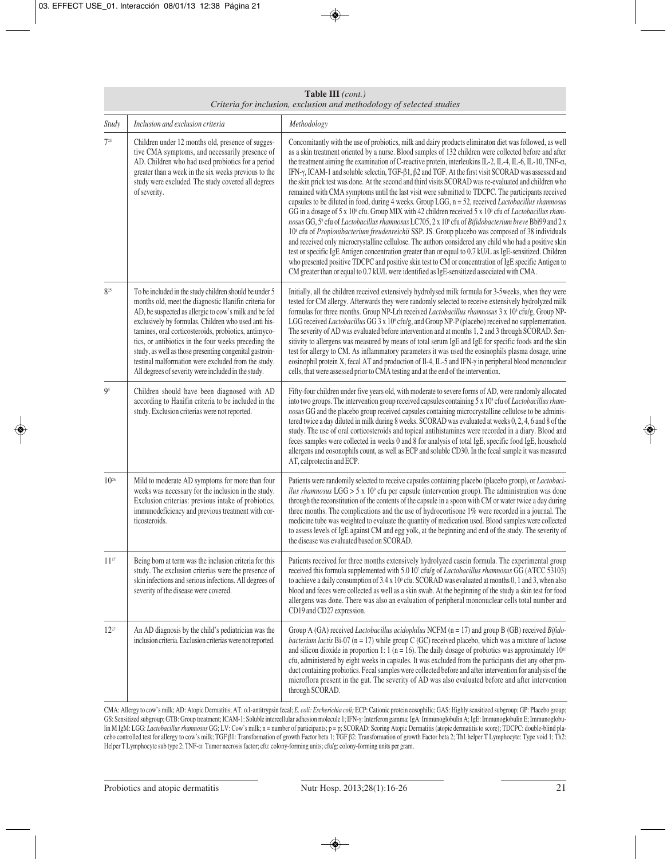|           | Criteria for inclusion, exclusion and methodology of selected studies                                                                                                                                                                                                                                                                                                                                                                                                                                                    |                                                                                                                                                                                                                                                                                                                                                                                                                                                                                                                                                                                                                                                                                                                                                                                                                                                                                                                                                                                                                                                                                                                                                                                                                                                                                                                                                                                                                                                                                                                                     |  |  |  |  |
|-----------|--------------------------------------------------------------------------------------------------------------------------------------------------------------------------------------------------------------------------------------------------------------------------------------------------------------------------------------------------------------------------------------------------------------------------------------------------------------------------------------------------------------------------|-------------------------------------------------------------------------------------------------------------------------------------------------------------------------------------------------------------------------------------------------------------------------------------------------------------------------------------------------------------------------------------------------------------------------------------------------------------------------------------------------------------------------------------------------------------------------------------------------------------------------------------------------------------------------------------------------------------------------------------------------------------------------------------------------------------------------------------------------------------------------------------------------------------------------------------------------------------------------------------------------------------------------------------------------------------------------------------------------------------------------------------------------------------------------------------------------------------------------------------------------------------------------------------------------------------------------------------------------------------------------------------------------------------------------------------------------------------------------------------------------------------------------------------|--|--|--|--|
| Study     | Inclusion and exclusion criteria                                                                                                                                                                                                                                                                                                                                                                                                                                                                                         | Methodology                                                                                                                                                                                                                                                                                                                                                                                                                                                                                                                                                                                                                                                                                                                                                                                                                                                                                                                                                                                                                                                                                                                                                                                                                                                                                                                                                                                                                                                                                                                         |  |  |  |  |
| $7^{24}$  | Children under 12 months old, presence of sugges-<br>tive CMA symptoms, and necessarily presence of<br>AD. Children who had used probiotics for a period<br>greater than a week in the six weeks previous to the<br>study were excluded. The study covered all degrees<br>of severity.                                                                                                                                                                                                                                   | Concomitantly with the use of probiotics, milk and dairy products eliminaton diet was followed, as well<br>as a skin treatment oriented by a nurse. Blood samples of 132 children were collected before and after<br>the treatment aiming the examination of C-reactive protein, interleukins IL-2, IL-4, IL-6, IL-10, TNF- $\alpha$ ,<br>IFN-γ, ICAM-1 and soluble selectin, TGF-β1, β2 and TGF. At the first visit SCORAD was assessed and<br>the skin prick test was done. At the second and third visits SCORAD was re-evaluated and children who<br>remained with CMA symptoms until the last visit were submitted to TDCPC. The participants received<br>capsules to be diluted in food, during 4 weeks. Group LGG, n = 52, received Lactobacillus rhamnosus<br>GG in a dosage of 5 x 10° cfu. Group MIX with 42 children received 5 x 10° cfu of Lactobacillus rham-<br>nosus GG, 5° cfu of Lactobacillus rhamnosus LC705, 2 x 10° cfu of Bifidobacterium breve Bbi99 and 2 x<br>10 <sup>8</sup> cfu of Propionibacterium freudenreichii SSP. JS. Group placebo was composed of 38 individuals<br>and received only microcrystalline cellulose. The authors considered any child who had a positive skin<br>test or specific IgE Antigen concentration greater than or equal to 0.7 kU/L as IgE-sensitized. Children<br>who presented positive TDCPC and positive skin test to CM or concentration of IgE specific Antigen to<br>CM greater than or equal to 0.7 kU/L were identified as IgE-sensitized associated with CMA. |  |  |  |  |
| 825       | To be included in the study children should be under 5<br>months old, meet the diagnostic Hanifin criteria for<br>AD, be suspected as allergic to cow's milk and be fed<br>exclusively by formulas. Children who used anti his-<br>tamines, oral corticosteroids, probiotics, antimyco-<br>tics, or antibiotics in the four weeks preceding the<br>study, as well as those presenting congenital gastroin-<br>testinal malformation were excluded from the study.<br>All degrees of severity were included in the study. | Initially, all the children received extensively hydrolysed milk formula for 3-5weeks, when they were<br>tested for CM allergy. Afterwards they were randomly selected to receive extensively hydrolyzed milk<br>formulas for three months. Group NP-Lrh received Lactobacillus rhamnosus 3 x 10 <sup>s</sup> cfu/g, Group NP-<br>LGG received Lactobacillus GG 3 x 10 <sup>s</sup> cfu/g, and Group NP-P (placebo) received no supplementation.<br>The severity of AD was evaluated before intervention and at months 1, 2 and 3 through SCORAD. Sen-<br>sitivity to allergens was measured by means of total serum IgE and IgE for specific foods and the skin<br>test for allergy to CM. As inflammatory parameters it was used the eosinophils plasma dosage, urine<br>eosinophil protein X, fecal AT and production of Il-4, IL-5 and IFN-y in peripheral blood mononuclear<br>cells, that were assessed prior to CMA testing and at the end of the intervention.                                                                                                                                                                                                                                                                                                                                                                                                                                                                                                                                                              |  |  |  |  |
| 95        | Children should have been diagnosed with AD<br>according to Hanifin criteria to be included in the<br>study. Exclusion criterias were not reported.                                                                                                                                                                                                                                                                                                                                                                      | Fifty-four children under five years old, with moderate to severe forms of AD, were randomly allocated<br>into two groups. The intervention group received capsules containing 5 x 10° cfu of Lactobacillus rham-<br>nosus GG and the placebo group received capsules containing microcrystalline cellulose to be adminis-<br>tered twice a day diluted in milk during 8 weeks. SCORAD was evaluated at weeks 0, 2, 4, 6 and 8 of the<br>study. The use of oral corticosteroids and topical antihistamines were recorded in a diary. Blood and<br>feces samples were collected in weeks 0 and 8 for analysis of total IgE, specific food IgE, household<br>allergens and eosonophils count, as well as ECP and soluble CD30. In the fecal sample it was measured<br>AT, calprotectin and ECP.                                                                                                                                                                                                                                                                                                                                                                                                                                                                                                                                                                                                                                                                                                                                       |  |  |  |  |
| $10^{26}$ | Mild to moderate AD symptoms for more than four<br>weeks was necessary for the inclusion in the study.<br>Exclusion criterias: previous intake of probiotics,<br>immunodeficiency and previous treatment with cor-<br>ticosteroids.                                                                                                                                                                                                                                                                                      | Patients were randomily selected to receive capsules containing placebo (placebo group), or Lactobaci-<br><i>llus rhamnosus</i> LGG $> 5 \times 10^{\circ}$ cfu per capsule (intervention group). The administration was done<br>through the reconstitution of the contents of the capsule in a spoon with CM or water twice a day during<br>three months. The complications and the use of hydrocortisone 1% were recorded in a journal. The<br>medicine tube was weighted to evaluate the quantity of medication used. Blood samples were collected<br>to assess levels of IgE against CM and egg yolk, at the beginning and end of the study. The severity of<br>the disease was evaluated based on SCORAD.                                                                                                                                                                                                                                                                                                                                                                                                                                                                                                                                                                                                                                                                                                                                                                                                                      |  |  |  |  |
| $11^{17}$ | Being born at term was the inclusion criteria for this<br>study. The exclusion criterias were the presence of<br>skin infections and serious infections. All degrees of<br>severity of the disease were covered.                                                                                                                                                                                                                                                                                                         | Patients received for three months extensively hydrolyzed casein formula. The experimental group<br>received this formula supplemented with 5.0 10 <sup>7</sup> cfu/g of Lactobacillus rhamnosus GG (ATCC 53103)<br>to achieve a daily consumption of 3.4 x 10° cfu. SCORAD was evaluated at months 0, 1 and 3, when also<br>blood and feces were collected as well as a skin swab. At the beginning of the study a skin test for food<br>allergens was done. There was also an evaluation of peripheral mononuclear cells total number and<br>CD19 and CD27 expression.                                                                                                                                                                                                                                                                                                                                                                                                                                                                                                                                                                                                                                                                                                                                                                                                                                                                                                                                                            |  |  |  |  |
| $12^{27}$ | An AD diagnosis by the child's pediatrician was the<br>inclusion criteria. Exclusion criterias were not reported.                                                                                                                                                                                                                                                                                                                                                                                                        | Group A (GA) received <i>Lactobacillus acidophilus</i> NCFM ( $n = 17$ ) and group B (GB) received <i>Bifido</i> -<br>bacterium lactis Bi-07 ( $n = 17$ ) while group C (GC) received placebo, which was a mixture of lactose<br>and silicon dioxide in proportion 1: 1 ( $n = 16$ ). The daily dosage of probiotics was approximately 10 <sup>10</sup><br>cfu, administered by eight weeks in capsules. It was excluded from the participants diet any other pro-<br>duct containing probiotics. Fecal samples were collected before and after intervention for analysis of the<br>microflora present in the gut. The severity of AD was also evaluated before and after intervention<br>through SCORAD.                                                                                                                                                                                                                                                                                                                                                                                                                                                                                                                                                                                                                                                                                                                                                                                                                           |  |  |  |  |

**Table III** *(cont.)*

CMA: Allergy to cow's milk; AD: Atopic Dermatitis; AT: α1-antitrypsin fecal; *E. coli: Escherichia coli;* ECP: Cationic protein eosophilic; GAS: Highly sensitized subgroup; GP: Placebo group; GS: Sensitized subgroup; GTB: Group treatment; ICAM-1: Soluble intercellular adhesion molecule 1; IFN-γ: Interferon gamma; IgA: Immunoglobulin A; IgE: Immunoglobulin E; Immunoglobulu lin M IgM: LGG: *Lactobacillus rhamnosus* GG; LV: Cow's milk; n = number of participants; p = p; SCORAD: Scoring Atopic Dermatitis (atopic dermatitis to score); TDCPC: double-blind placebo controlled test for allergy to cow's milk; TGF β1: Transformation of growth Factor beta 1; TGF β2: Transformation of growth Factor beta 2; Th1 helper T Lymphocyte: Type void 1; Th2: Helper T Lymphocyte sub type 2; TNF-α: Tumor necrosis factor; cfu: colony-forming units; cfu/g: colony-forming units per gram.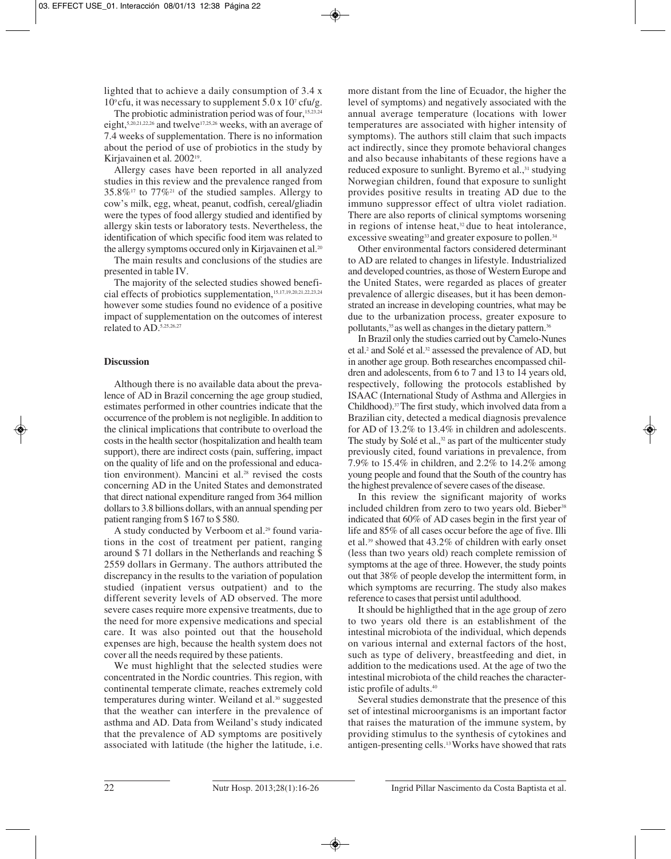lighted that to achieve a daily consumption of 3.4 x  $10^{\circ}$  cfu, it was necessary to supplement  $5.0 \times 10^{\circ}$  cfu/g.

The probiotic administration period was of four,<sup>15,23,24</sup> eight,5,20,21,22,26 and twelve17,25,26 weeks, with an average of 7.4 weeks of supplementation. There is no information about the period of use of probiotics in the study by Kirjavainen et al*.* 200219.

Allergy cases have been reported in all analyzed studies in this review and the prevalence ranged from  $35.8\%$ <sup>17</sup> to  $77\%$ <sup>21</sup> of the studied samples. Allergy to cow's milk, egg, wheat, peanut, codfish, cereal/gliadin were the types of food allergy studied and identified by allergy skin tests or laboratory tests. Nevertheless, the identification of which specific food item was related to the allergy symptoms occured only in Kirjavainen et al.<sup>20</sup>

The main results and conclusions of the studies are presented in table IV.

The majority of the selected studies showed beneficial effects of probiotics supplementation,15,17,19,20,21,22,23,24 however some studies found no evidence of a positive impact of supplementation on the outcomes of interest related to AD.5,25,26,27

## **Discussion**

Although there is no available data about the prevalence of AD in Brazil concerning the age group studied, estimates performed in other countries indicate that the occurrence of the problem is not negligible. In addition to the clinical implications that contribute to overload the costs in the health sector (hospitalization and health team support), there are indirect costs (pain, suffering, impact on the quality of life and on the professional and education environment). Mancini et al.<sup>28</sup> revised the costs concerning AD in the United States and demonstrated that direct national expenditure ranged from 364 million dollars to 3.8 billions dollars, with an annual spending per patient ranging from \$ 167 to \$ 580.

A study conducted by Verboom et al.<sup>29</sup> found variations in the cost of treatment per patient, ranging around \$ 71 dollars in the Netherlands and reaching \$ 2559 dollars in Germany. The authors attributed the discrepancy in the results to the variation of population studied (inpatient versus outpatient) and to the different severity levels of AD observed. The more severe cases require more expensive treatments, due to the need for more expensive medications and special care. It was also pointed out that the household expenses are high, because the health system does not cover all the needs required by these patients.

We must highlight that the selected studies were concentrated in the Nordic countries. This region, with continental temperate climate, reaches extremely cold temperatures during winter. Weiland et al.30 suggested that the weather can interfere in the prevalence of asthma and AD. Data from Weiland's study indicated that the prevalence of AD symptoms are positively associated with latitude (the higher the latitude, i.e.

more distant from the line of Ecuador, the higher the level of symptoms) and negatively associated with the annual average temperature (locations with lower temperatures are associated with higher intensity of symptoms). The authors still claim that such impacts act indirectly, since they promote behavioral changes and also because inhabitants of these regions have a reduced exposure to sunlight. Byremo et al.,<sup>31</sup> studying Norwegian children, found that exposure to sunlight provides positive results in treating AD due to the immuno suppressor effect of ultra violet radiation. There are also reports of clinical symptoms worsening in regions of intense heat, $32$  due to heat intolerance, excessive sweating<sup>33</sup> and greater exposure to pollen.<sup>34</sup>

Other environmental factors considered determinant to AD are related to changes in lifestyle. Industrialized and developed countries, as those of Western Europe and the United States, were regarded as places of greater prevalence of allergic diseases, but it has been demonstrated an increase in developing countries, what may be due to the urbanization process, greater exposure to pollutants,35 as well as changes in the dietary pattern.36

In Brazil only the studies carried out by Camelo-Nunes et al.2 and Solé et al.32 assessed the prevalence of AD, but in another age group. Both researches encompassed children and adolescents, from 6 to 7 and 13 to 14 years old, respectively, following the protocols established by ISAAC (International Study of Asthma and Allergies in Childhood).37 The first study, which involved data from a Brazilian city, detected a medical diagnosis prevalence for AD of 13.2% to 13.4% in children and adolescents. The study by Solé et al., $32$  as part of the multicenter study previously cited, found variations in prevalence, from 7.9% to 15.4% in children, and 2.2% to 14.2% among young people and found that the South of the country has the highest prevalence of severe cases of the disease.

In this review the significant majority of works included children from zero to two years old. Bieber<sup>38</sup> indicated that 60% of AD cases begin in the first year of life and 85% of all cases occur before the age of five. Illi et al.39 showed that 43.2% of children with early onset (less than two years old) reach complete remission of symptoms at the age of three. However, the study points out that 38% of people develop the intermittent form, in which symptoms are recurring. The study also makes reference to cases that persist until adulthood.

It should be highligthed that in the age group of zero to two years old there is an establishment of the intestinal microbiota of the individual, which depends on various internal and external factors of the host, such as type of delivery, breastfeeding and diet, in addition to the medications used. At the age of two the intestinal microbiota of the child reaches the characteristic profile of adults.40

Several studies demonstrate that the presence of this set of intestinal microorganisms is an important factor that raises the maturation of the immune system, by providing stimulus to the synthesis of cytokines and antigen-presenting cells.13 Works have showed that rats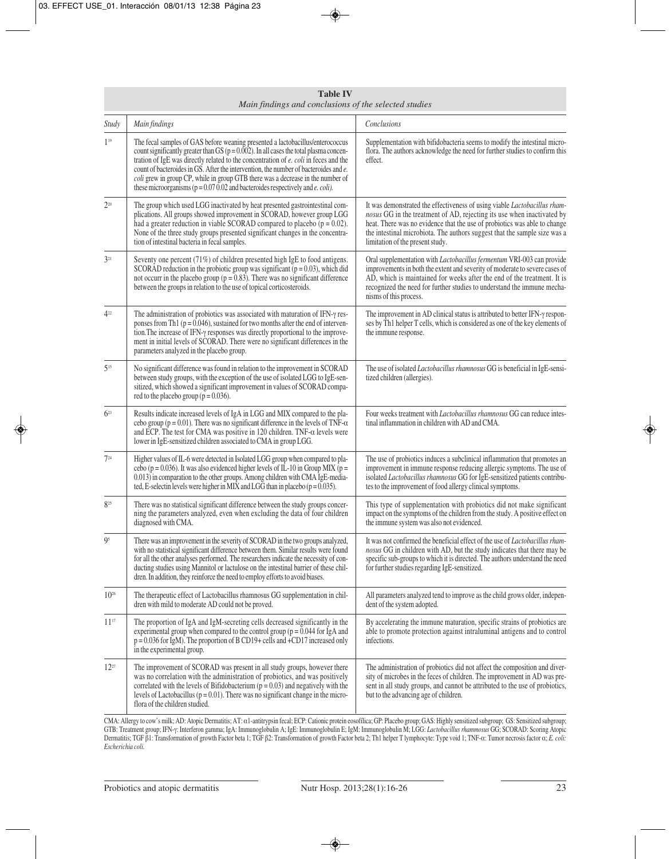| <b>Table IV</b><br>Main findings and conclusions of the selected studies |                                                                                                                                                                                                                                                                                                                                                                                                                                                                                                                                            |                                                                                                                                                                                                                                                                                                                                                   |  |  |  |
|--------------------------------------------------------------------------|--------------------------------------------------------------------------------------------------------------------------------------------------------------------------------------------------------------------------------------------------------------------------------------------------------------------------------------------------------------------------------------------------------------------------------------------------------------------------------------------------------------------------------------------|---------------------------------------------------------------------------------------------------------------------------------------------------------------------------------------------------------------------------------------------------------------------------------------------------------------------------------------------------|--|--|--|
| Study                                                                    | Main findings                                                                                                                                                                                                                                                                                                                                                                                                                                                                                                                              | Conclusions                                                                                                                                                                                                                                                                                                                                       |  |  |  |
| $1^{19}$                                                                 | The fecal samples of GAS before weaning presented a lactobacillus/enterococcus<br>count significantly greater than GS ( $p = 0.002$ ). In all cases the total plasma concen-<br>tration of IgE was directly related to the concentration of e. coli in feces and the<br>count of bacteroides in GS. After the intervention, the number of bacteroides and e.<br>coli grew in group CP, while in group GTB there was a decrease in the number of<br>these microorganisms ( $p = 0.07002$ and bacteroides respectively and <i>e. coli</i> ). | Supplementation with bifidobacteria seems to modify the intestinal micro-<br>flora. The authors acknowledge the need for further studies to confirm this<br>effect.                                                                                                                                                                               |  |  |  |
| $2^{20}$                                                                 | The group which used LGG inactivated by heat presented gastrointestinal com-<br>plications. All groups showed improvement in SCORAD, however group LGG<br>had a greater reduction in viable SCORAD compared to placebo ( $p = 0.02$ ).<br>None of the three study groups presented significant changes in the concentra-<br>tion of intestinal bacteria in fecal samples.                                                                                                                                                                  | It was demonstrated the effectiveness of using viable Lactobacillus rham-<br>nosus GG in the treatment of AD, rejecting its use when inactivated by<br>heat. There was no evidence that the use of probiotics was able to change<br>the intestinal microbiota. The authors suggest that the sample size was a<br>limitation of the present study. |  |  |  |
| $3^{21}$                                                                 | Seventy one percent (71%) of children presented high IgE to food antigens.<br>SCORAD reduction in the probiotic group was significant ( $p = 0.03$ ), which did<br>not occurr in the placebo group ( $p = 0.83$ ). There was no significant difference<br>between the groups in relation to the use of topical corticosteroids.                                                                                                                                                                                                            | Oral supplementation with <i>Lactobacillus fermentum</i> VRI-003 can provide<br>improvements in both the extent and severity of moderate to severe cases of<br>AD, which is maintained for weeks after the end of the treatment. It is<br>recognized the need for further studies to understand the immune mecha-<br>nisms of this process.       |  |  |  |
| $4^{22}$                                                                 | The administration of probiotics was associated with maturation of IFN- $\gamma$ res-<br>ponses from Th1 ( $p = 0.046$ ), sustained for two months after the end of interven-<br>tion. The increase of IFN-y responses was directly proportional to the improve-<br>ment in initial levels of SCORAD. There were no significant differences in the<br>parameters analyzed in the placebo group.                                                                                                                                            | The improvement in AD clinical status is attributed to better IFN- $\gamma$ respon-<br>ses by Th1 helper T cells, which is considered as one of the key elements of<br>the immune response.                                                                                                                                                       |  |  |  |
| $5^{15}$                                                                 | No significant difference was found in relation to the improvement in SCORAD<br>between study groups, with the exception of the use of isolated LGG to IgE-sen-<br>sitized, which showed a significant improvement in values of SCORAD compa-<br>red to the placebo group ( $p = 0.036$ ).                                                                                                                                                                                                                                                 | The use of isolated Lactobacillus rhamnosus GG is beneficial in IgE-sensi-<br>tized children (allergies).                                                                                                                                                                                                                                         |  |  |  |
| $6^{23}$                                                                 | Results indicate increased levels of IgA in LGG and MIX compared to the pla-<br>cebo group ( $p = 0.01$ ). There was no significant difference in the levels of TNF- $\alpha$<br>and ECP. The test for CMA was positive in 120 children. TNF- $\alpha$ levels were<br>lower in IgE-sensitized children associated to CMA in group LGG.                                                                                                                                                                                                     | Four weeks treatment with Lactobacillus rhamnosus GG can reduce intes-<br>tinal inflammation in children with AD and CMA.                                                                                                                                                                                                                         |  |  |  |
| $7^{24}$                                                                 | Higher values of IL-6 were detected in Isolated LGG group when compared to pla-<br>cebo ( $p = 0.036$ ). It was also evidenced higher levels of IL-10 in Group MIX ( $p =$<br>0.013) in comparation to the other groups. Among children with CMA IgE-media-<br>ted, E-selectin levels were higher in MIX and LGG than in placebo ( $p = 0.035$ ).                                                                                                                                                                                          | The use of probiotics induces a subclinical inflammation that promotes an<br>improvement in immune response reducing allergic symptoms. The use of<br>isolated Lactobacillus rhamnosus GG for IgE-sensitized patients contribu-<br>tes to the improvement of food allergy clinical symptoms.                                                      |  |  |  |
| 825                                                                      | There was no statistical significant difference between the study groups concer-<br>ning the parameters analyzed, even when excluding the data of four children<br>diagnosed with CMA.                                                                                                                                                                                                                                                                                                                                                     | This type of supplementation with probiotics did not make significant<br>impact on the symptoms of the children from the study. A positive effect on<br>the immune system was also not evidenced.                                                                                                                                                 |  |  |  |
| Q <sub>5</sub>                                                           | There was an improvement in the severity of SCORAD in the two groups analyzed,<br>with no statistical significant difference between them. Similar results were found<br>for all the other analyses performed. The researchers indicate the necessity of con-<br>ducting studies using Mannitol or lactulose on the intestinal barrier of these chil-<br>dren. In addition, they reinforce the need to employ efforts to avoid biases.                                                                                                     | It was not confirmed the beneficial effect of the use of <i>Lactobacillus rham</i> -<br>nosus GG in children with AD, but the study indicates that there may be<br>specific sub-groups to which it is directed. The authors understand the need<br>for further studies regarding IgE-sensitized.                                                  |  |  |  |
| $10^{26}$                                                                | The therapeutic effect of Lactobacillus rhamnosus GG supplementation in chil-<br>dren with mild to moderate AD could not be proved.                                                                                                                                                                                                                                                                                                                                                                                                        | All parameters analyzed tend to improve as the child grows older, indepen-<br>dent of the system adopted.                                                                                                                                                                                                                                         |  |  |  |
| $11^{17}$                                                                | The proportion of IgA and IgM-secreting cells decreased significantly in the<br>experimental group when compared to the control group ( $p = 0.044$ for IgA and<br>$p = 0.036$ for IgM). The proportion of B CD19+ cells and +CD17 increased only<br>in the experimental group.                                                                                                                                                                                                                                                            | By accelerating the immune maturation, specific strains of probiotics are<br>able to promote protection against intraluminal antigens and to control<br>infections.                                                                                                                                                                               |  |  |  |
| $12^{27}$                                                                | The improvement of SCORAD was present in all study groups, however there<br>was no correlation with the administration of probiotics, and was positively<br>correlated with the levels of Bifidobacterium ( $p = 0.03$ ) and negatively with the<br>levels of Lactobacillus ( $p = 0.01$ ). There was no significant change in the micro-<br>flora of the children studied.                                                                                                                                                                | The administration of probiotics did not affect the composition and diver-<br>sity of microbes in the feces of children. The improvement in AD was pre-<br>sent in all study groups, and cannot be attributed to the use of probiotics,<br>but to the advancing age of children.                                                                  |  |  |  |

CMA: Allergy to cow's milk; AD: Atopic Dermatitis; AT: α1-antitrypsin fecal; ECP: Cationic protein eosofílica; GP: Placebo group; GAS: Highly sensitized subgroup; GS: Sensitized subgroup; GTB: Treatment group; IFN-γ: Interferon gamma; IgA: Immunoglobulin A; IgE: Immunoglobulin E; IgM: Immunoglobulin M; LGG: *Lactobacillus rhammosus* GG; SCORAD: Scoring Atopic Dermatitis; TGF β1: Transformation of growth Factor beta 1; TGF β2: Transformation of growth Factor beta 2; Th1 helper T lymphocyte: Type void 1; TNF-α: Tumor necrosis factor α; *E. coli: Escherichia coli.*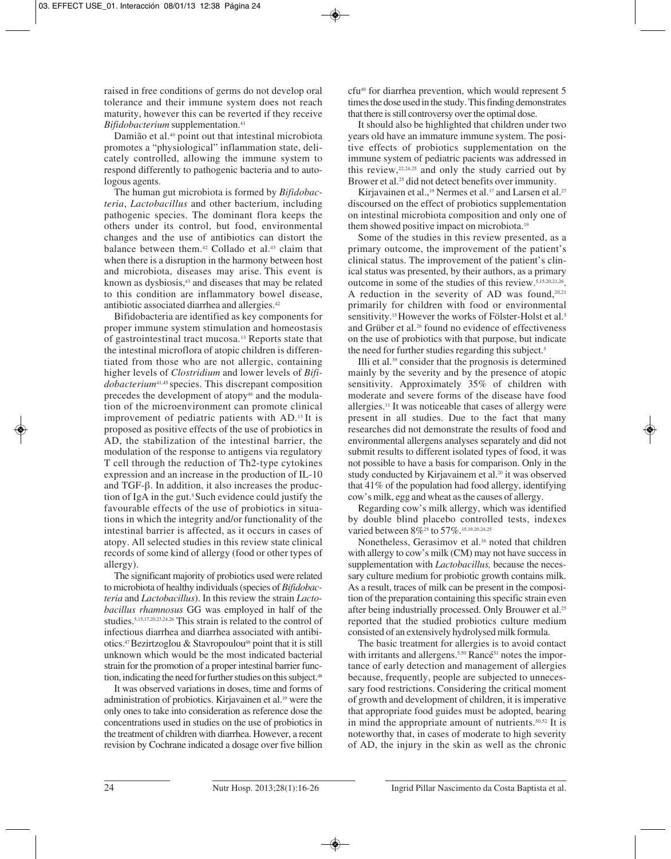raised in free conditions of germs do not develop oral tolerance and their immune system does not reach maturity, however this can be reverted if they receive *Bifidobacterium* supplementation.41

Damião et al.40 point out that intestinal microbiota promotes a "physiological" inflammation state, delicately controlled, allowing the immune system to respond differently to pathogenic bacteria and to autologous agents.

The human gut microbiota is formed by *Bifidobacteria*, *Lactobacillus* and other bacterium, including pathogenic species. The dominant flora keeps the others under its control, but food, environmental changes and the use of antibiotics can distort the balance between them.<sup>42</sup> Collado et al.<sup>43</sup> claim that when there is a disruption in the harmony between host and microbiota, diseases may arise. This event is known as dysbiosis,<sup>43</sup> and diseases that may be related to this condition are inflammatory bowel disease, antibiotic associated diarrhea and allergies.42

Bifidobacteria are identified as key components for proper immune system stimulation and homeostasis of gastrointestinal tract mucosa.13 Reports state that the intestinal microflora of atopic children is differentiated from those who are not allergic, containing higher levels of *Clostridium* and lower levels of *Bifidobacterium*41,45 species. This discrepant composition precedes the development of atopy<sup>46</sup> and the modulation of the microenvironment can promote clinical improvement of pediatric patients with AD.13 It is proposed as positive effects of the use of probiotics in AD, the stabilization of the intestinal barrier, the modulation of the response to antigens via regulatory T cell through the reduction of Th2-type cytokines expression and an increase in the production of IL-10 and TGF-β. In addition, it also increases the production of IgA in the gut.<sup>5</sup> Such evidence could justify the favourable effects of the use of probiotics in situations in which the integrity and/or functionality of the intestinal barrier is affected, as it occurs in cases of atopy. All selected studies in this review state clinical records of some kind of allergy (food or other types of allergy).

The significant majority of probiotics used were related to microbiota of healthy individuals (species of *Bifidobacteria* and *Lactobacillus*). In this review the strain *Lactobacillus rhamnosus* GG was employed in half of the studies.5,15,17,20,23,24,26 This strain is related to the control of infectious diarrhea and diarrhea associated with antibiotics.<sup>47</sup> Bezirtzoglou & Stavropoulou<sup>48</sup> point that it is still unknown which would be the most indicated bacterial strain for the promotion of a proper intestinal barrier function, indicating the need for further studies on this subject.<sup>48</sup>

It was observed variations in doses, time and forms of administration of probiotics. Kirjavainen et al.19 were the only ones to take into consideration as reference dose the concentrations used in studies on the use of probiotics in the treatment of children with diarrhea. However, a recent revision by Cochrane indicated a dosage over five billion

cfu49 for diarrhea prevention, which would represent 5 times the dose used in the study. This finding demonstrates that there is still controversy over the optimal dose.

It should also be highlighted that children under two years old have an immature immune system. The positive effects of probiotics supplementation on the immune system of pediatric pacients was addressed in this review, $22,24,25$  and only the study carried out by Brower et al.<sup>25</sup> did not detect benefits over immunity.

Kirjavainen et al.,<sup>19</sup> Nermes et al.<sup>17</sup> and Larsen et al.<sup>27</sup> discoursed on the effect of probiotics supplementation on intestinal microbiota composition and only one of them showed positive impact on microbiota.<sup>19</sup>

Some of the studies in this review presented, as a primary outcome, the improvement of the patient's clinical status. The improvement of the patient's clinical status was presented, by their authors, as a primary outcome in some of the studies of this review.5,15,20,21,26. A reduction in the severity of AD was found, $20,21$ primarily for children with food or environmental sensitivity.<sup>15</sup> However the works of Fölster-Holst et al.<sup>5</sup> and Grüber et al.26 found no evidence of effectiveness on the use of probiotics with that purpose, but indicate the need for further studies regarding this subject.<sup>5</sup>

Illi et al.39 consider that the prognosis is determined mainly by the severity and by the presence of atopic sensitivity. Approximately 35% of children with moderate and severe forms of the disease have food allergies.11 It was noticeable that cases of allergy were present in all studies. Due to the fact that many researches did not demonstrate the results of food and environmental allergens analyses separately and did not submit results to different isolated types of food, it was not possible to have a basis for comparison. Only in the study conducted by Kirjavainem et al.<sup>20</sup> it was observed that 41% of the population had food allergy, identifying cow's milk, egg and wheat as the causes of allergy.

Regarding cow's milk allergy, which was identified by double blind placebo controlled tests, indexes varied between 8%<sup>25</sup> to 57%<sup>15,19,20,24,25</sup>

Nonetheless, Gerasimov et al.<sup>16</sup> noted that children with allergy to cow's milk (CM) may not have success in supplementation with *Lactobacillus,* because the necessary culture medium for probiotic growth contains milk. As a result, traces of milk can be present in the composition of the preparation containing this specific strain even after being industrially processed. Only Brouwer et al.25 reported that the studied probiotics culture medium consisted of an extensively hydrolysed milk formula.

The basic treatment for allergies is to avoid contact with irritants and allergens.<sup>5,50</sup> Rancé<sup>51</sup> notes the importance of early detection and management of allergies because, frequently, people are subjected to unnecessary food restrictions. Considering the critical moment of growth and development of children, it is imperative that appropriate food guides must be adopted, bearing in mind the appropriate amount of nutrients.50,52 It is noteworthy that, in cases of moderate to high severity of AD, the injury in the skin as well as the chronic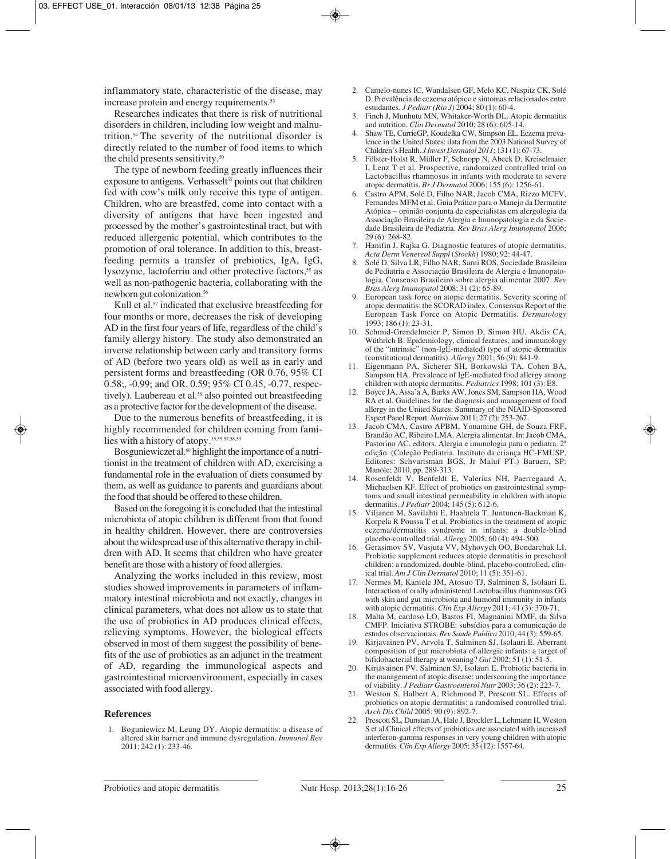inflammatory state, characteristic of the disease, may increase protein and energy requirements.<sup>53</sup>

Researches indicates that there is risk of nutritional disorders in children, including low weight and malnutrition.54 The severity of the nutritional disorder is directly related to the number of food items to which the child presents sensitivity.<sup>50</sup>

The type of newborn feeding greatly influences their exposure to antigens. Verhasselt<sup>55</sup> points out that children fed with cow's milk only receive this type of antigen. Children, who are breastfed, come into contact with a diversity of antigens that have been ingested and processed by the mother's gastrointestinal tract, but with reduced allergenic potential, which contributes to the promotion of oral tolerance. In addition to this, breastfeeding permits a transfer of prebiotics, IgA, IgG, lysozyme, lactoferrin and other protective factors,<sup>55</sup> as well as non-pathogenic bacteria, collaborating with the newborn gut colonization.56

Kull et al.<sup>57</sup> indicated that exclusive breastfeeding for four months or more, decreases the risk of developing AD in the first four years of life, regardless of the child's family allergy history. The study also demonstrated an inverse relationship between early and transitory forms of AD (before two years old) as well as in early and persistent forms and breastfeeding (OR 0.76, 95% CI 0.58;, -0.99; and OR, 0.59; 95% CI 0.45, -0.77, respectively). Laubereau et al.<sup>58</sup> also pointed out breastfeeding as a protective factor for the development of the disease.

Due to the numerous benefits of breastfeeding, it is highly recommended for children coming from families with a history of atopy.35,55,57,58,59

Bosguniewiczet al.<sup>60</sup> highlight the importance of a nutritionist in the treatment of children with AD, exercising a fundamental role in the evaluation of diets consumed by them, as well as guidance to parents and guardians about the food that should be offered to these children.

Based on the foregoing it is concluded that the intestinal microbiota of atopic children is different from that found in healthy children. However, there are controversies about the widespread use of this alternative therapy in children with AD. It seems that children who have greater benefit are those with a history of food allergies.

Analyzing the works included in this review, most studies showed improvements in parameters of inflammatory intestinal microbiota and not exactly, changes in clinical parameters, what does not allow us to state that the use of probiotics in AD produces clinical effects, relieving symptoms. However, the biological effects observed in most of them suggest the possibility of benefits of the use of probiotics as an adjunct in the treatment of AD, regarding the immunological aspects and gastrointestinal microenvironment, especially in cases associated with food allergy.

#### **References**

1. Boguniewicz M, Leung DY. Atopic dermatitis: a disease of altered skin barrier and immune dysregulation. *Immunol Rev* 2011; 242 (1): 233-46.

- 2. Camelo-nunes IC, Wandalsen GF, Melo KC, Naspitz CK, Solé D. Prevalência de eczema atópico e sintomas relacionados entre estudantes. *J Pediatr (Rio J)* 2004; 80 (1): 60-4.
- 3. Finch J, Munhutu MN, Whitaker-Worth DL. Atopic dermatitis and nutrition. *Clin Dermatol* 2010; 28 (6): 605-14.
- 4. Shaw TE, CurrieGP, Koudelka CW, Simpson EL. Eczema prevalence in the United States: data from the 2003 National Survey of Children's Health. *J Invest Dermatol 2011*; 131 (1): 67-73.
- 5. Fölster-Holst R, Müller F, Schnopp N, Abeck D, Kreiselmaier I, Lenz T et al. Prospective, randomized controlled trial on Lactobacillus rhamnosus in infants with moderate to severe atopic dermatitis. *Br J Dermatol* 2006; 155 (6): 1256-61.
- 6. Castro APM, Solé D, Filho NAR, Jacob CMA, Rizzo MCFV, Fernandes MFM et al. Guia Prático para o Manejo da Dermatite Atópica – opinião conjunta de especialistas em alergologia da Associação Brasileira de Alergia e Imunopatologia e da Sociedade Brasileira de Pediatria. *Rev Bras Alerg Imunopatol* 2006; 29 (6): 268-82.
- 7. Hanifin J, Rajka G. Diagnostic features of atopic dermatitis. *Acta Derm Venereol Suppl* (*Stockh*) 1980; 92: 44-47.
- 8. Solé D, Silva LR, Filho NAR, Sarni ROS, Sociedade Brasileira de Pediatria e Associação Brasileira de Alergia e Imunopatologia. Consenso Brasileiro sobre alergia alimentar 2007. *Rev Bras Alerg Imunopatol* 2008; 31 (2): 65-89.
- 9. European task force on atopic dermatitis. Severity scoring of atopic dermatitis: the SCORAD index. Consensus Report of the European Task Force on Atopic Dermatitis. *Dermatology* 1993; 186 (1): 23-31.
- 10. Schmid-Grendelmeier P, Simon D, Simon HU, Akdis CA, Wüthrich B. Epidemiology, clinical features, and immunology of the "intrinsic" (non-IgE-mediated) type of atopic dermatitis (constitutional dermatitis). *Allergy* 2001; 56 (9): 841-9.
- 11. Eigenmann PA, Sicherer SH, Borkowski TA, Cohen BA, Sampson HA. Prevalence of IgE-mediated food allergy among children with atopic dermatitis. *Pediatrics* 1998; 101 (3): E8.
- 12. Boyce JA, Assa'a A, Burks AW, Jones SM, Sampson HA, Wood RA et al. Guidelines for the diagnosis and management of food allergy in the United States: Summary of the NIAID-Sponsored Expert Panel Report. *Nutrition* 2011; 27 (2): 253-267.
- 13. Jacob CMA, Castro APBM, Yonamine GH, de Souza FRF, Brandão AC, Ribeiro LMA. Alergia alimentar. In: Jacob CMA, Pastorino AC, editors. Alergia e imunologia para o pediatra. 2ª edição. (Coleção Pediatria. Instituto da criança HC-FMUSP. Editores: Schvartsman BGS, Jr Maluf PT.) Barueri, SP: Manole; 2010, pp. 289-313.
- 14. Rosenfeldt V, Benfeldt E, Valerius NH, Paerregaard A, Michaelsen KF. Effect of probiotics on gastrointestinal symptoms and small intestinal permeability in children with atopic dermatitis. *J Pediatr* 2004; 145 (5): 612-6.
- 15. Viljanen M, Savilahti E, Haahtela T, Juntunen-Backman K, Korpela R Poussa T et al. Probiotics in the treatment of atopic eczema/dermatitis syndrome in infants: a double-blind placebo-controlled trial. *Allergy* 2005; 60 (4): 494-500.
- 16. Gerasimov SV, Vasjuta VV, Myhovych OO, Bondarchuk LI. Probiotic supplement reduces atopic dermatitis in preschool children: a randomized, double-blind, placebo-controlled, clinical trial. *Am J Clin Dermatol* 2010; 11 (5): 351-61.
- 17. Nermes M, Kantele JM, Atosuo TJ, Salminen S, Isolauri E. Interaction of orally administered Lactobacillus rhamnosus GG with skin and gut microbiota and humoral immunity in infants with atopic dermatitis. *Clin Exp Allergy* 2011; 41 (3): 370-71.
- 18. Malta M, cardoso LO, Bastos FI, Magnanini MMF, da Silva CMFP. Iniciativa STROBE: subsídios para a comunicação de estudos observacionais. *Rev Saude Publica* 2010; 44 (3): 559-65.
- 19. Kirjavainen PV, Arvola T, Salminen SJ, Isolauri E. Aberrant composition of gut microbiota of allergic infants: a target of bifidobacterial therapy at weaning? *Gut* 2002; 51 (1): 51-5.
- 20. Kirjavainen PV, Salminen SJ, Isolauri E. Probiotic bacteria in the management of atopic disease: underscoring the importance of viability. *J Pediatr Gastroenterol Nutr* 2003; 36 (2): 223-7.
- 21. Weston S, Halbert A, Richmond P, Prescott SL. Effects of probiotics on atopic dermatitis: a randomised controlled trial. *Arch Dis Child* 2005; 90 (9): 892-7.
- 22. Prescott SL, Dunstan JA, Hale J, Breckler L, Lehmann H, Weston S et al.Clinical effects of probiotics are associated with increased interferon-gamma responses in very young children with atopic dermatitis. *Clin Exp Allergy* 2005; 35 (12): 1557-64.